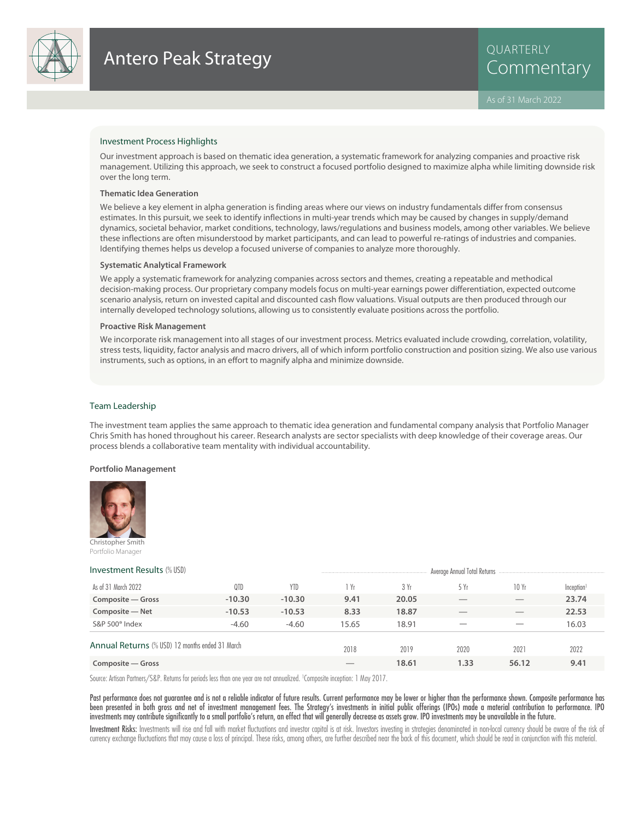

# Investment Process Highlights

Our investment approach is based on thematic idea generation, a systematic framework for analyzing companies and proactive risk management. Utilizing this approach, we seek to construct a focused portfolio designed to maximize alpha while limiting downside risk over the long term.

#### **Thematic Idea Generation**

We believe a key element in alpha generation is finding areas where our views on industry fundamentals differ from consensus estimates. In this pursuit, we seek to identify inflections in multi-year trends which may be caused by changes in supply/demand dynamics, societal behavior, market conditions, technology, laws/regulations and business models, among other variables. We believe these inflections are often misunderstood by market participants, and can lead to powerful re-ratings of industries and companies. Identifying themes helps us develop a focused universe of companies to analyze more thoroughly.

#### **Systematic Analytical Framework**

We apply a systematic framework for analyzing companies across sectors and themes, creating a repeatable and methodical decision-making process. Our proprietary company models focus on multi-year earnings power differentiation, expected outcome scenario analysis, return on invested capital and discounted cash flow valuations. Visual outputs are then produced through our internally developed technology solutions, allowing us to consistently evaluate positions across the portfolio.

#### **Proactive Risk Management**

We incorporate risk management into all stages of our investment process. Metrics evaluated include crowding, correlation, volatility, stress tests, liquidity, factor analysis and macro drivers, all of which inform portfolio construction and position sizing. We also use various instruments, such as options, in an effort to magnify alpha and minimize downside.

#### Team Leadership

The investment team applies the same approach to thematic idea generation and fundamental company analysis that Portfolio Manager Chris Smith has honed throughout his career. Research analysts are sector specialists with deep knowledge of their coverage areas. Our process blends a collaborative team mentality with individual accountability.

#### **Portfolio Management**



Christopher Smith Portfolio Manager

| <b>Investment Results (% USD)</b>               |          |            |       |       | Average Annual Total Returns<br> |       |                        |  |  |
|-------------------------------------------------|----------|------------|-------|-------|----------------------------------|-------|------------------------|--|--|
| As of 31 March 2022                             | 0TD      | <b>YTD</b> | l Yr  | 3 Yr  | 5 Yr                             | 10Yr  | Inception <sup>1</sup> |  |  |
| Composite – Gross                               | $-10.30$ | $-10.30$   | 9.41  | 20.05 |                                  |       | 23.74                  |  |  |
| Composite - Net                                 | $-10.53$ | $-10.53$   | 8.33  | 18.87 |                                  |       | 22.53                  |  |  |
| S&P 500° Index                                  | $-4.60$  | $-4.60$    | 15.65 | 18.91 |                                  |       | 16.03                  |  |  |
| Annual Returns (% USD) 12 months ended 31 March |          |            | 2018  | 2019  | 2020                             | 2021  | 2022                   |  |  |
| Composite - Gross                               |          |            |       | 18.61 | 1.33                             | 56.12 | 9.41                   |  |  |

Source: Artisan Partners/S&P. Returns for periods less than one year are not annualized. <sup>1</sup> Composite inception: 1 May 2017.

Past performance does not guarantee and is not a reliable indicator of future results. Current performance may be lower or higher than the performance shown. Composite performance has been presented in both gross and net of investment management fees. The Strategy's investments in initial public offerings (IPOs) made a material contribution to performance. IPO investments may contribute significantly to a small portfolio's return, an effect that will generally decrease as assets grow. IPO investments may be unavailable in the future.

Investment Risks: Investments will rise and fall with market fluctuations and investor capital is at risk. Investors investing in strategies denominated in non-local currency should be aware of the risk of currency exchange fluctuations that may cause a loss of principal. These risks, among others, are further described near the back of this document, which should be read in conjunction with this material.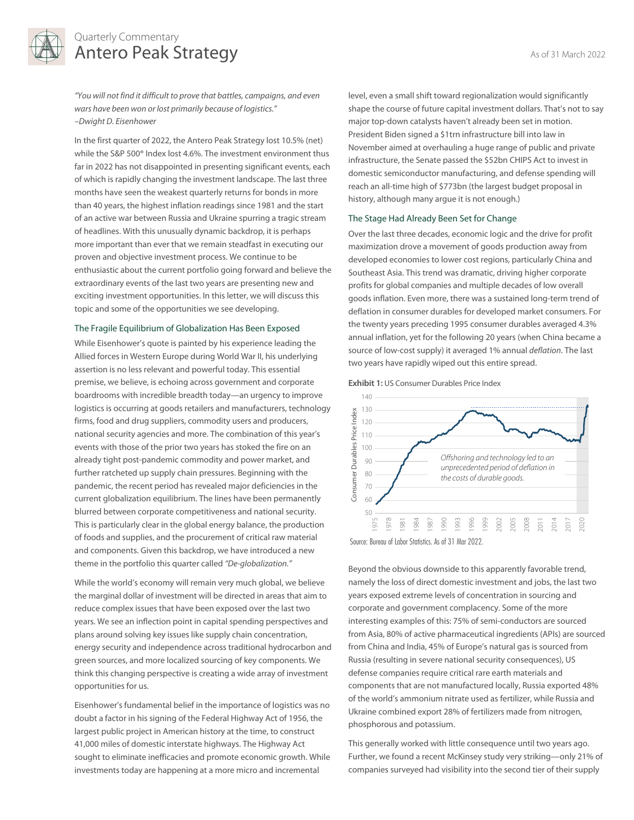

# Quarterly Commentary Antero Peak Strategy As of 31 March 2022

"You will not find it difficult to prove that battles, campaigns, and even wars have been won or lost primarily because of logistics." –Dwight D. Eisenhower

In the first quarter of 2022, the Antero Peak Strategy lost 10.5% (net) while the S&P 500® Index lost 4.6%. The investment environment thus far in 2022 has not disappointed in presenting significant events, each of which is rapidly changing the investment landscape. The last three months have seen the weakest quarterly returns for bonds in more than 40 years, the highest inflation readings since 1981 and the start of an active war between Russia and Ukraine spurring a tragic stream of headlines. With this unusually dynamic backdrop, it is perhaps more important than ever that we remain steadfast in executing our proven and objective investment process. We continue to be enthusiastic about the current portfolio going forward and believe the extraordinary events of the last two years are presenting new and exciting investment opportunities. In this letter, we will discuss this topic and some of the opportunities we see developing.

#### The Fragile Equilibrium of Globalization Has Been Exposed

While Eisenhower's quote is painted by his experience leading the Allied forces in Western Europe during World War II, his underlying assertion is no less relevant and powerful today. This essential premise, we believe, is echoing across government and corporate boardrooms with incredible breadth today—an urgency to improve logistics is occurring at goods retailers and manufacturers, technology firms, food and drug suppliers, commodity users and producers, national security agencies and more. The combination of this year's events with those of the prior two years has stoked the fire on an already tight post-pandemic commodity and power market, and further ratcheted up supply chain pressures. Beginning with the pandemic, the recent period has revealed major deficiencies in the current globalization equilibrium. The lines have been permanently blurred between corporate competitiveness and national security. This is particularly clear in the global energy balance, the production of foods and supplies, and the procurement of critical raw material and components. Given this backdrop, we have introduced a new theme in the portfolio this quarter called "De-globalization."

While the world's economy will remain very much global, we believe the marginal dollar of investment will be directed in areas that aim to reduce complex issues that have been exposed over the last two years. We see an inflection point in capital spending perspectives and plans around solving key issues like supply chain concentration, energy security and independence across traditional hydrocarbon and green sources, and more localized sourcing of key components. We think this changing perspective is creating a wide array of investment opportunities for us.

Eisenhower's fundamental belief in the importance of logistics was no doubt a factor in his signing of the Federal Highway Act of 1956, the largest public project in American history at the time, to construct 41,000 miles of domestic interstate highways. The Highway Act sought to eliminate inefficacies and promote economic growth. While investments today are happening at a more micro and incremental

level, even a small shift toward regionalization would significantly shape the course of future capital investment dollars. That's not to say major top-down catalysts haven't already been set in motion. President Biden signed a \$1trn infrastructure bill into law in November aimed at overhauling a huge range of public and private infrastructure, the Senate passed the \$52bn CHIPS Act to invest in domestic semiconductor manufacturing, and defense spending will reach an all-time high of \$773bn (the largest budget proposal in history, although many argue it is not enough.)

#### The Stage Had Already Been Set for Change

Over the last three decades, economic logic and the drive for profit maximization drove a movement of goods production away from developed economies to lower cost regions, particularly China and Southeast Asia. This trend was dramatic, driving higher corporate profits for global companies and multiple decades of low overall goods inflation. Even more, there was a sustained long-term trend of deflation in consumer durables for developed market consumers. For the twenty years preceding 1995 consumer durables averaged 4.3% annual inflation, yet for the following 20 years (when China became a source of low-cost supply) it averaged 1% annual *deflation*. The last two years have rapidly wiped out this entire spread.





Beyond the obvious downside to this apparently favorable trend, namely the loss of direct domestic investment and jobs, the last two years exposed extreme levels of concentration in sourcing and corporate and government complacency. Some of the more interesting examples of this: 75% of semi-conductors are sourced from Asia, 80% of active pharmaceutical ingredients (APIs) are sourced from China and India, 45% of Europe's natural gas is sourced from Russia (resulting in severe national security consequences), US defense companies require critical rare earth materials and components that are not manufactured locally, Russia exported 48% of the world's ammonium nitrate used as fertilizer, while Russia and Ukraine combined export 28% of fertilizers made from nitrogen, phosphorous and potassium.

This generally worked with little consequence until two years ago. Further, we found a recent McKinsey study very striking—only 21% of companies surveyed had visibility into the second tier of their supply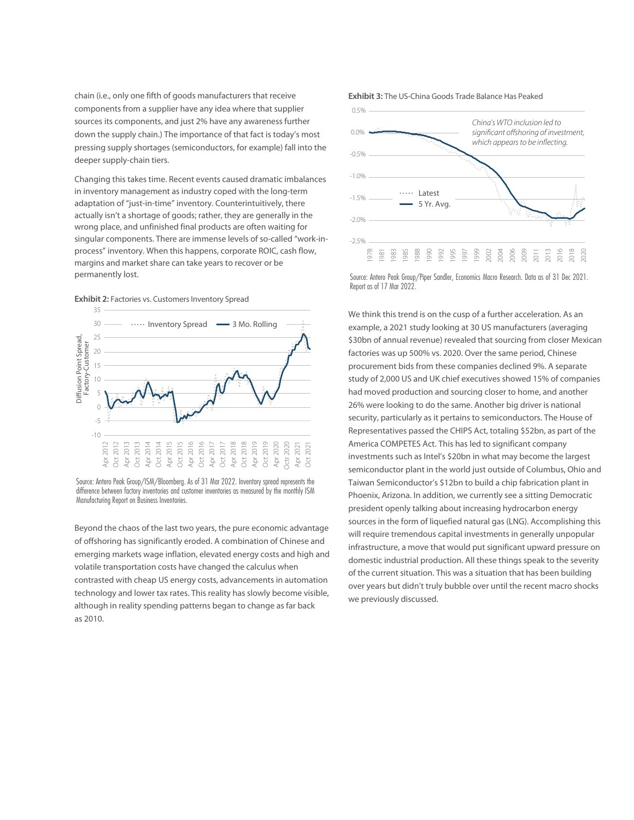chain (i.e., only one fifth of goods manufacturers that receive components from a supplier have any idea where that supplier sources its components, and just 2% have any awareness further down the supply chain.) The importance of that fact is today's most pressing supply shortages (semiconductors, for example) fall into the deeper supply-chain tiers.

Changing this takes time. Recent events caused dramatic imbalances in inventory management as industry coped with the long-term adaptation of "just-in-time" inventory. Counterintuitively, there actually isn't a shortage of goods; rather, they are generally in the wrong place, and unfinished final products are often waiting for singular components. There are immense levels of so-called "work-inprocess" inventory. When this happens, corporate ROIC, cash flow, margins and market share can take years to recover or be permanently lost.





Source: Antero Peak Group/ISM/Bloomberg. As of 31 Mar 2022. Inventory spread represents the difference between factory inventories and customer inventories as measured by the monthly ISM

Beyond the chaos of the last two years, the pure economic advantage of offshoring has significantly eroded. A combination of Chinese and emerging markets wage inflation, elevated energy costs and high and volatile transportation costs have changed the calculus when contrasted with cheap US energy costs, advancements in automation technology and lower tax rates. This reality has slowly become visible, although in reality spending patterns began to change as far back as 2010.





Source: Antero Peak Group/Piper Sandler, Economics Macro Research. Data as of 31 Dec 2021.

We think this trend is on the cusp of a further acceleration. As an example, a 2021 study looking at 30 US manufacturers (averaging \$30bn of annual revenue) revealed that sourcing from closer Mexican factories was up 500% vs. 2020. Over the same period, Chinese procurement bids from these companies declined 9%. A separate study of 2,000 US and UK chief executives showed 15% of companies had moved production and sourcing closer to home, and another 26% were looking to do the same. Another big driver is national security, particularly as it pertains to semiconductors. The House of Representatives passed the CHIPS Act, totaling \$52bn, as part of the America COMPETES Act. This has led to significant company investments such as Intel's \$20bn in what may become the largest semiconductor plant in the world just outside of Columbus, Ohio and Taiwan Semiconductor's \$12bn to build a chip fabrication plant in Phoenix, Arizona. In addition, we currently see a sitting Democratic president openly talking about increasing hydrocarbon energy sources in the form of liquefied natural gas (LNG). Accomplishing this will require tremendous capital investments in generally unpopular infrastructure, a move that would put significant upward pressure on domestic industrial production. All these things speak to the severity of the current situation. This was a situation that has been building over years but didn't truly bubble over until the recent macro shocks we previously discussed.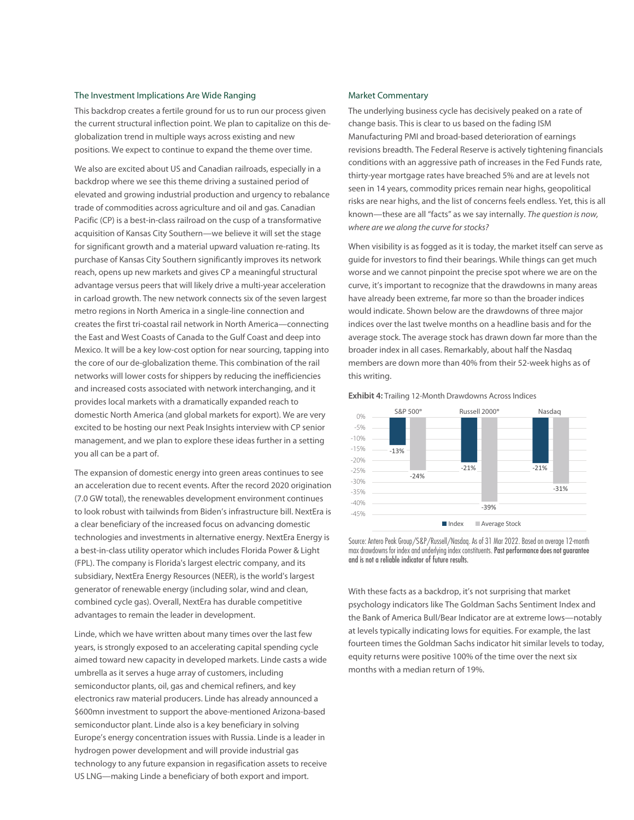## The Investment Implications Are Wide Ranging

This backdrop creates a fertile ground for us to run our process given the current structural inflection point. We plan to capitalize on this deglobalization trend in multiple ways across existing and new positions. We expect to continue to expand the theme over time.

We also are excited about US and Canadian railroads, especially in a backdrop where we see this theme driving a sustained period of elevated and growing industrial production and urgency to rebalance trade of commodities across agriculture and oil and gas. Canadian Pacific (CP) is a best-in-class railroad on the cusp of a transformative acquisition of Kansas City Southern—we believe it will set the stage for significant growth and a material upward valuation re-rating. Its purchase of Kansas City Southern significantly improves its network reach, opens up new markets and gives CP a meaningful structural advantage versus peers that will likely drive a multi-year acceleration in carload growth. The new network connects six of the seven largest metro regions in North America in a single-line connection and creates the first tri-coastal rail network in North America—connecting the East and West Coasts of Canada to the Gulf Coast and deep into Mexico. It will be a key low-cost option for near sourcing, tapping into the core of our de-globalization theme. This combination of the rail networks will lower costs for shippers by reducing the inefficiencies and increased costs associated with network interchanging, and it provides local markets with a dramatically expanded reach to domestic North America (and global markets for export). We are very excited to be hosting our next Peak Insights interview with CP senior management, and we plan to explore these ideas further in a setting you all can be a part of.

The expansion of domestic energy into green areas continues to see an acceleration due to recent events. After the record 2020 origination (7.0 GW total), the renewables development environment continues to look robust with tailwinds from Biden's infrastructure bill. NextEra is a clear beneficiary of the increased focus on advancing domestic technologies and investments in alternative energy. NextEra Energy is a best-in-class utility operator which includes Florida Power & Light (FPL). The company is Florida's largest electric company, and its subsidiary, NextEra Energy Resources (NEER), is the world's largest generator of renewable energy (including solar, wind and clean, combined cycle gas). Overall, NextEra has durable competitive advantages to remain the leader in development.

Linde, which we have written about many times over the last few years, is strongly exposed to an accelerating capital spending cycle aimed toward new capacity in developed markets. Linde casts a wide umbrella as it serves a huge array of customers, including semiconductor plants, oil, gas and chemical refiners, and key electronics raw material producers. Linde has already announced a \$600mn investment to support the above-mentioned Arizona-based semiconductor plant. Linde also is a key beneficiary in solving Europe's energy concentration issues with Russia. Linde is a leader in hydrogen power development and will provide industrial gas technology to any future expansion in regasification assets to receive US LNG—making Linde a beneficiary of both export and import.

## Market Commentary

The underlying business cycle has decisively peaked on a rate of change basis. This is clear to us based on the fading ISM Manufacturing PMI and broad-based deterioration of earnings revisions breadth. The Federal Reserve is actively tightening financials conditions with an aggressive path of increases in the Fed Funds rate, thirty-year mortgage rates have breached 5% and are at levels not seen in 14 years, commodity prices remain near highs, geopolitical risks are near highs, and the list of concerns feels endless. Yet, this is all known—these are all "facts" as we say internally. The question is now, where are we along the curve for stocks?

When visibility is as fogged as it is today, the market itself can serve as guide for investors to find their bearings. While things can get much worse and we cannot pinpoint the precise spot where we are on the curve, it's important to recognize that the drawdowns in many areas have already been extreme, far more so than the broader indices would indicate. Shown below are the drawdowns of three major indices over the last twelve months on a headline basis and for the average stock. The average stock has drawn down far more than the broader index in all cases. Remarkably, about half the Nasdaq members are down more than 40% from their 52-week highs as of this writing.





Source: Antero Peak Group/S&P/Russell/Nasdaq. As of 31 Mar 2022. Based on average 12-month max drawdowns for index and underlying index constituents. Past performance does not guarantee and is not a reliable indicator of future results.

With these facts as a backdrop, it's not surprising that market psychology indicators like The Goldman Sachs Sentiment Index and the Bank of America Bull/Bear Indicator are at extreme lows—notably at levels typically indicating lows for equities. For example, the last fourteen times the Goldman Sachs indicator hit similar levels to today, equity returns were positive 100% of the time over the next six months with a median return of 19%.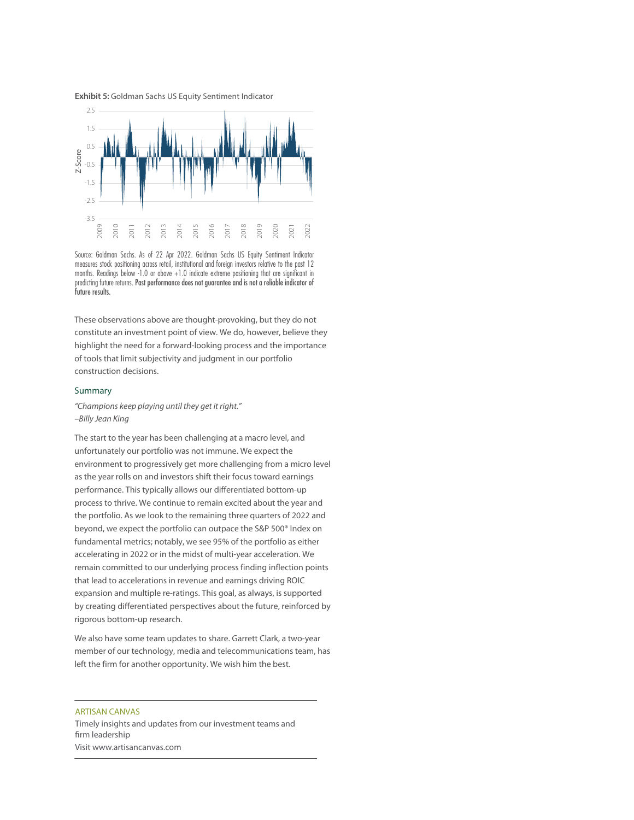



Source: Goldman Sachs. As of 22 Apr 2022. Goldman Sachs US Equity Sentiment Indicator measures stock positioning across retail, institutional and foreign investors relative to the past 12 months. Readings below -1.0 or above +1.0 indicate extreme positioning that are significant in predicting future returns. Past performance does not guarantee and is not a reliable indicator of Examples<br>Source: Goldm<br>measures stock<br>months. Readin<br>predicting future<br>future results.

These observations above are thought-provoking, but they do not constitute an investment point of view. We do, however, believe they highlight the need for a forward-looking process and the importance of tools that limit subjectivity and judgment in our portfolio construction decisions.

#### Summary

"Champions keep playing until they get it right." –Billy Jean King

The start to the year has been challenging at a macro level, and unfortunately our portfolio was not immune. We expect the environment to progressively get more challenging from a micro level as the year rolls on and investors shift their focus toward earnings performance. This typically allows our differentiated bottom-up process to thrive. We continue to remain excited about the year and the portfolio. As we look to the remaining three quarters of 2022 and beyond, we expect the portfolio can outpace the S&P 500® Index on fundamental metrics; notably, we see 95% of the portfolio as either accelerating in 2022 or in the midst of multi-year acceleration. We remain committed to our underlying process finding inflection points that lead to accelerations in revenue and earnings driving ROIC expansion and multiple re-ratings. This goal, as always, is supported by creating differentiated perspectives about the future, reinforced by rigorous bottom-up research.

We also have some team updates to share. Garrett Clark, a two-year member of our technology, media and telecommunications team, has left the firm for another opportunity. We wish him the best.

ARTISAN CANVAS Timely insights and updates from our investment teams and firm leadership Visit www.artisancanvas.com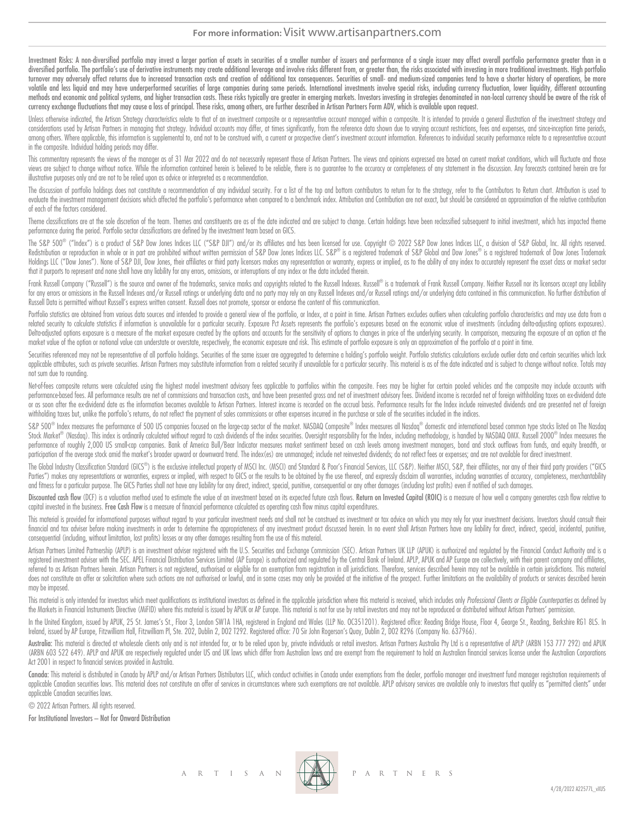# **For more information:** Visit www.artisanpartners.com

Investment Risks: A non-diversified portfolio may invest a larger portion of assets in securities of a smaller number of issuers and performance of a single issuer may affect overall portfolio performance greater than in a diversified portfolio. The portfolio's use of derivative instruments may create additional leverage and involve risks different from, or greater than, the risks associated with investing in more traditional investments. Hi turnover may adversely affect returns due to increased transaction costs and creation of additional tax consequences. Securities of small- and medium-sized companies tend to have a shorter history of operations, be more volatile and less liquid and may have underperformed securities of large companies during some periods. International investments involve special risks, including currency fluctuation, lower liquidity, different accounting methods and economic and political systems, and higher transaction costs. These risks typically are greater in emerging markets. Investors investing in strategies denominated in non-local currency should be aware of the ri currency exchange fluctuations that may cause a loss of principal. These risks, among others, are further described in Artisan Partners Form ADV, which is available upon request.

Unless otherwise indicated, the Artisan Strategy characteristics relate to that of an investment composite or a representative account managed within a composite. It is intended to provide a general illustration of the inv considerations used by Artisan Partners in managing that strategy. Individual accounts may differ, at times significantly, from the reference data shown due to varying account restrictions, fees and expenses, and since-inc among others. Where applicable, this information is supplemental to, and not to be construed with, a current or prospective client's investment account information. References to individual security performance relate to a in the composite. Individual holding periods may differ.

This commentary represents the views of the manager as of 31 Mar 2022 and do not necessarily represent those of Artisan Partners. The views and opinions expressed are based on current market conditions, which will fluctuat views are subject to change without notice. While the information contained herein is believed to be reliable, there is no quarantee to the accuracy or completeness of any statement in the discussion. Any forecasts contain illustrative purposes only and are not to be relied upon as advice or interpreted as a recommendation.

The discussion of portfolio holdings does not constitute a recommendation of any individual security. For a list of the top and bottom contributors to return for to the strategy, refer to the Contributors to Return chart. evaluate the investment management decisions which affected the portfolio's performance when compared to a benchmark index. Attribution and Contribution are not exact, but should be considered an approximation of the relat of each of the factors considered.

Theme classifications are at the sole discretion of the team. Themes and constituents are as of the date indicated and are subject to change. Certain holdings have been reclassified subsequent to initial investment, which performance during the period. Portfolio sector classifications are defined by the investment team based on GICS.

The S&P 500® ("Index") is a product of S&P Dow Jones Indices LLC ("S&P DJI") and/or its affiliates and has been licensed for use. Copyright © 2022 S&P Dow Jones Indices LLC, a division of S&P Global, Inc. All rights reserv Redistribution or reproduction in whole or in part are prohibited without written permission of S&P Dow Jones Indices LLC. S&P® is a registered trademark of S&P Global and Dow Jones® is a registered trademark of Dow Jones Holdings LLC ("Dow Jones"). None of S&P DJI, Dow Jones, their affiliates or third party licensors makes any representation or warranty, express or implied, as to the ability of any index to accurately represent the asset c that it purports to represent and none shall have any liability for any errors, omissions, or interruptions of any index or the data included therein.

Frank Russell Company ("Russell") is the source and owner of the trademarks, service marks and copyrights related to the Russell Indexes. Russell® is a trademark of Frank Russell Company. Neither Russell nor its licensors for any errors or omissions in the Russell Indexes and/or Russell ratinas or underlying data and no party may rely on any Russell Indexes and/or Russell ratinas and/or underlying data contained in this communication. No fu Russell Data is permitted without Russell's express written consent. Russell does not promote, sponsor or endorse the content of this communication.

Portfolio statistics are obtained from various data sources and intended to provide a general view of the portfolio, or Index, at a point in time. Artisan Partners excludes outliers when calculating portfolio characteristi related security to calculate statistics if information is unavailable for a particular security. Exposure Pct Assets represents the portfolio's exposures based on the economic value of investments (including delta adjusti Delta-adjusted options exposure is a measure of the market exposure created by the options and accounts for the sensitivity of options to changes in price of the underlying security. In comparison, measuring the exposure o market value of the option or notional value can understate or overstate, respectively, the economic exposure and risk. This estimate of portfolio exposure is only an approximation of the portfolio at a point in time.

Securities referenced may not be representative of all portfolio holdings. Securities of the same issuer are aggregated to determine a holding's portfolio weight. Portfolio statistics calculations exclude outlier data and applicable attributes, such as private securities. Artisan Partners may substitute information from a related security if unavailable for a particular security. This material is as of the date indicated and is subject to c not sum due to rounding.

Net-of-fees composite returns were calculated using the highest model investment advisory fees applicable to portfolios within the composite. Fees may be higher for certain pooled vehicles and the composite may include acc performance-based fees. All performance results are net of commissions and transaction costs, and have been presented gross and net of investment advisory fees. Dividend income is recorded net of foreign withholding taxes or as soon after the ex-dividend date as the information becomes available to Artisan Partners. Interest income is recorded on the accrual basis. Performance results for the Index include reinvested dividends and are prese withholding taxes but, unlike the portfolio's returns, do not reflect the payment of sales commissions or other expenses incurred in the purchase or sale of the securities included in the indices.

S&P 500® Index measures the performance of 500 US companies focused on the large-cap sector of the market. NASDAQ Composite® Index measures all Nasdaq® domestic and international based common type stocks listed on The Nasd Stock Market® (Nasdaq). This index is ordinarily calculated without regard to cash dividends of the index securities. Oversight responsibility for the Index, including methodology, is handled by NASDAQ OMX. Russell 2000® I performance of roughly 2,000 US small-cap companies. Bank of America Bull/Bear Indicator measures market sentiment based on cash levels among investment managers, bond and stock outflows from funds, and equity breadth, or participation of the average stock amid the market's broader upward or downward trend. The index (es) are unmanaged; include net reinvested dividends; do not reflect fees or expenses; and are not available for direct inves

The Global Industry Classification Standard (GICS®) is the exclusive intellectual property of MSCI Inc. (MSCI) and Standard & Poor's Financial Services, LLC (S&P). Neither MSCI, S&P, their affiliates, nor any of their thir Parties") makes any representations or warranties, express or implied, with respect to GICS or the results to be obtained by the use thereof, and expressly disclaim all warranties, including warranties of accuracy, complet and fitness for a particular purpose. The GICS Parties shall not have any liability for any direct, indirect, special, punitive, consequential or any other damages (including lost profits) even if notified of such damages.

Discounted cash flow (DCF) is a valuation method used to estimate the value of an investment based on its expected future cash flows. Return on Invested Capital (ROIC) is a measure of how well a company generates cash flow capital invested in the business. Free Cash Flow is a measure of financial performance calculated as operating cash flow minus capital expenditures.

This material is provided for informational purposes without regard to your particular investment needs and shall not be construed as investment or tax advice on which you may rely for your investment decisions. Investors financial and tax adviser before making investments in order to determine the appropriateness of any investment product discussed herein. In no event shall Artisan Partners have any liability for direct, indirect, special, consequential (including, without limitation, lost profits) losses or any other damages resulting from the use of this material.

Artisan Partners Limited Partnership (APLP) is an investment adviser registered with the U.S. Securities and Exchange Commission (SEC). Artisan Partners UK LLP (APUK) is authorized and regulated by the Financial Conduct Au registered investment adviser with the SEC. APEL Financial Distribution Services Limited (AP Europe) is authorized and regulated by the Central Bank of Ireland. APLP, APUK and AP Europe are collectively, with their parent referred to as Artisan Partners herein. Artisan Partners is not registered, authorised or eligible for an exemption from registration in all jurisdictions. Therefore, services described herein may not be available in certa does not constitute an offer or solicitation where such actions are not authorised or lawful, and in some cases may only be provided at the initiative of the prospect. Further limitations on the availability of products or may be imposed.

This material is only intended for investors which meet qualifications as institutional investors as defined in the applicable jurisdiction where this material is received, which includes only Professional Clients or Eligi the Markets in Financial Instruments Directive (MiFID) where this material is issued by APUK or AP Europe. This material is not for use by retail investors and may not be reproduced or distributed without Artisan Partners'

In the United Kingdom, issued by APUK, 25 St. James's St., Floor 3, London SW1A 1HA, registered in England and Wales (LLP No. OC351201). Registered office: Reading Bridge House, Floor 4, George St., Reading, Berkshire RG1 Ireland, issued by AP Europe, Fitzwilliam Hall, Fitzwilliam Pl, Ste. 202, Dublin 2, D02 T292. Registered office: 70 Sir John Rogerson's Quay, Dublin 2, D02 R296 (Company No. 637966).

Australia: This material is directed at wholesale clients only and is not intended for, or to be relied upon by, private individuals or retail investors. Artisan Partners Australia Pty Ltd is a representative of APLP (ARBN (ARBN 603 522 649). APLP and APUK are respectively regulated under US and UK laws which differ from Australian laws and are exempt from the requirement to hold an Australian financial services license under the Australian Act 2001 in respect to financial services provided in Australia.

Canada: This material is distributed in Canada by APLP and/or Artisan Partners Distributors LLC, which conduct activities in Canada under exemptions from the dealer, portfolio manager and investment fund manager registrati applicable Canadian securities laws. This material does not constitute an offer of services in circumstances where such exemptions are not available. APLP advisory services are available only to investors that qualify as " applicable Canadian securities laws.

© 2022 Artisan Partners. All rights reserved.

For Institutional Investors – Not for Onward Distribution